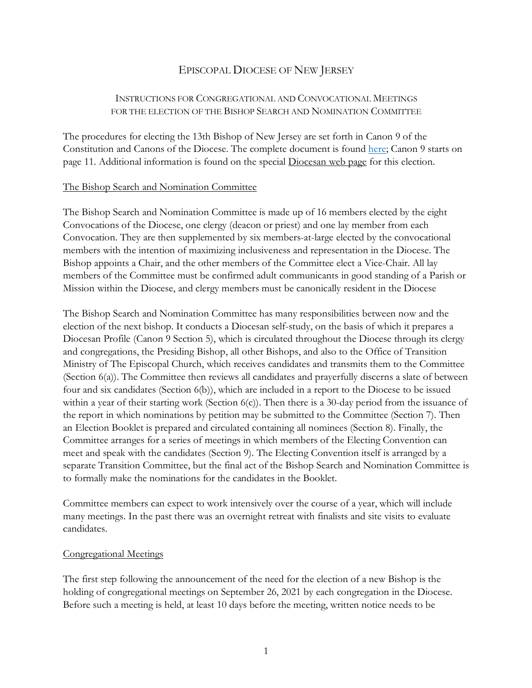# EPISCOPAL DIOCESE OF NEW JERSEY

## INSTRUCTIONS FOR CONGREGATIONAL AND CONVOCATIONAL MEETINGS FOR THE ELECTION OF THE BISHOP SEARCH AND NOMINATION COMMITTEE

The procedures for electing the 13th Bishop of New Jersey are set forth in Canon 9 of the Constitution and Canons of the Diocese. The complete document is found here; Canon 9 starts on page 11. Additional information is found on the special Diocesan web page for this election.

#### The Bishop Search and Nomination Committee

The Bishop Search and Nomination Committee is made up of 16 members elected by the eight Convocations of the Diocese, one clergy (deacon or priest) and one lay member from each Convocation. They are then supplemented by six members-at-large elected by the convocational members with the intention of maximizing inclusiveness and representation in the Diocese. The Bishop appoints a Chair, and the other members of the Committee elect a Vice-Chair. All lay members of the Committee must be confirmed adult communicants in good standing of a Parish or Mission within the Diocese, and clergy members must be canonically resident in the Diocese

The Bishop Search and Nomination Committee has many responsibilities between now and the election of the next bishop. It conducts a Diocesan self-study, on the basis of which it prepares a Diocesan Profile (Canon 9 Section 5), which is circulated throughout the Diocese through its clergy and congregations, the Presiding Bishop, all other Bishops, and also to the Office of Transition Ministry of The Episcopal Church, which receives candidates and transmits them to the Committee (Section 6(a)). The Committee then reviews all candidates and prayerfully discerns a slate of between four and six candidates (Section 6(b)), which are included in a report to the Diocese to be issued within a year of their starting work (Section  $6(c)$ ). Then there is a 30-day period from the issuance of the report in which nominations by petition may be submitted to the Committee (Section 7). Then an Election Booklet is prepared and circulated containing all nominees (Section 8). Finally, the Committee arranges for a series of meetings in which members of the Electing Convention can meet and speak with the candidates (Section 9). The Electing Convention itself is arranged by a separate Transition Committee, but the final act of the Bishop Search and Nomination Committee is to formally make the nominations for the candidates in the Booklet.

Committee members can expect to work intensively over the course of a year, which will include many meetings. In the past there was an overnight retreat with finalists and site visits to evaluate candidates.

## Congregational Meetings

The first step following the announcement of the need for the election of a new Bishop is the holding of congregational meetings on September 26, 2021 by each congregation in the Diocese. Before such a meeting is held, at least 10 days before the meeting, written notice needs to be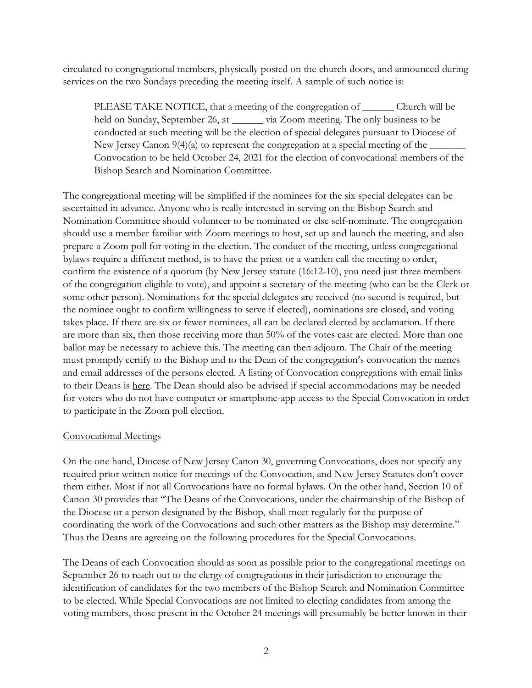circulated to congregational members, physically posted on the church doors, and announced during services on the two Sundays preceding the meeting itself. A sample of such notice is:

PLEASE TAKE NOTICE, that a meeting of the congregation of \_\_\_\_\_\_ Church will be held on Sunday, September 26, at via Zoom meeting. The only business to be conducted at such meeting will be the election of special delegates pursuant to Diocese of New Jersey Canon  $9(4)(a)$  to represent the congregation at a special meeting of the  $\equiv$ Convocation to be held October 24, 2021 for the election of convocational members of the Bishop Search and Nomination Committee.

The congregational meeting will be simplified if the nominees for the six special delegates can be ascertained in advance. Anyone who is really interested in serving on the Bishop Search and Nomination Committee should volunteer to be nominated or else self-nominate. The congregation should use a member familiar with Zoom meetings to host, set up and launch the meeting, and also prepare a Zoom poll for voting in the election. The conduct of the meeting, unless congregational bylaws require a different method, is to have the priest or a warden call the meeting to order, confirm the existence of a quorum (by New Jersey statute (16:12-10), you need just three members of the congregation eligible to vote), and appoint a secretary of the meeting (who can be the Clerk or some other person). Nominations for the special delegates are received (no second is required, but the nominee ought to confirm willingness to serve if elected), nominations are closed, and voting takes place. If there are six or fewer nominees, all can be declared elected by acclamation. If there are more than six, then those receiving more than 50% of the votes cast are elected. More than one ballot may be necessary to achieve this. The meeting can then adjourn. The Chair of the meeting must promptly certify to the Bishop and to the Dean of the congregation's convocation the names and email addresses of the persons elected. A listing of Convocation congregations with email links to their Deans is here. The Dean should also be advised if special accommodations may be needed for voters who do not have computer or smartphone-app access to the Special Convocation in order to participate in the Zoom poll election.

## Convocational Meetings

On the one hand, Diocese of New Jersey Canon 30, governing Convocations, does not specify any required prior written notice for meetings of the Convocation, and New Jersey Statutes don't cover them either. Most if not all Convocations have no formal bylaws. On the other hand, Section 10 of Canon 30 provides that "The Deans of the Convocations, under the chairmanship of the Bishop of the Diocese or a person designated by the Bishop, shall meet regularly for the purpose of coordinating the work of the Convocations and such other matters as the Bishop may determine." Thus the Deans are agreeing on the following procedures for the Special Convocations.

The Deans of each Convocation should as soon as possible prior to the congregational meetings on September 26 to reach out to the clergy of congregations in their jurisdiction to encourage the identification of candidates for the two members of the Bishop Search and Nomination Committee to be elected. While Special Convocations are not limited to electing candidates from among the voting members, those present in the October 24 meetings will presumably be better known in their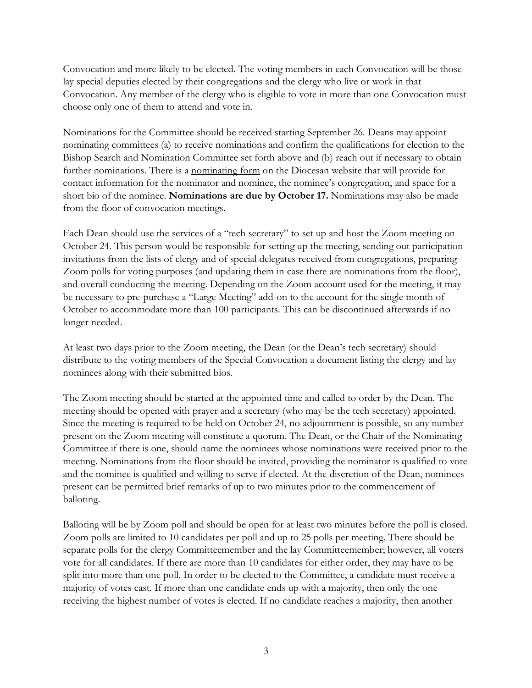Convocation and more likely to be elected. The voting members in each Convocation will be those lay special deputies elected by their congregations and the clergy who live or work in that Convocation. Any member of the clergy who is eligible to vote in more than one Convocation must choose only one of them to attend and vote in.

Nominations for the Committee should be received starting September 26. Deans may appoint nominating committees (a) to receive nominations and confirm the qualifications for election to the Bishop Search and Nomination Committee set forth above and (b) reach out if necessary to obtain further nominations. There is a nominating form on the Diocesan website that will provide for contact information for the nominator and nominee, the nominee's congregation, and space for a short bio of the nominee. **Nominations are due by October 17.** Nominations may also be made from the floor of convocation meetings.

Each Dean should use the services of a "tech secretary" to set up and host the Zoom meeting on October 24. This person would be responsible for setting up the meeting, sending out participation invitations from the lists of clergy and of special delegates received from congregations, preparing Zoom polls for voting purposes (and updating them in case there are nominations from the floor), and overall conducting the meeting. Depending on the Zoom account used for the meeting, it may be necessary to pre-purchase a "Large Meeting" add-on to the account for the single month of October to accommodate more than 100 participants. This can be discontinued afterwards if no longer needed.

At least two days prior to the Zoom meeting, the Dean (or the Dean's tech secretary) should distribute to the voting members of the Special Convocation a document listing the clergy and lay nominees along with their submitted bios.

The Zoom meeting should be started at the appointed time and called to order by the Dean. The meeting should be opened with prayer and a secretary (who may be the tech secretary) appointed. Since the meeting is required to be held on October 24, no adjournment is possible, so any number present on the Zoom meeting will constitute a quorum. The Dean, or the Chair of the Nominating Committee if there is one, should name the nominees whose nominations were received prior to the meeting. Nominations from the floor should be invited, providing the nominator is qualified to vote and the nominee is qualified and willing to serve if elected. At the discretion of the Dean, nominees present can be permitted brief remarks of up to two minutes prior to the commencement of balloting.

Balloting will be by Zoom poll and should be open for at least two minutes before the poll is closed. Zoom polls are limited to 10 candidates per poll and up to 25 polls per meeting. There should be separate polls for the clergy Committeemember and the lay Committeemember; however, all voters vote for all candidates. If there are more than 10 candidates for either order, they may have to be split into more than one poll. In order to be elected to the Committee, a candidate must receive a majority of votes cast. If more than one candidate ends up with a majority, then only the one receiving the highest number of votes is elected. If no candidate reaches a majority, then another